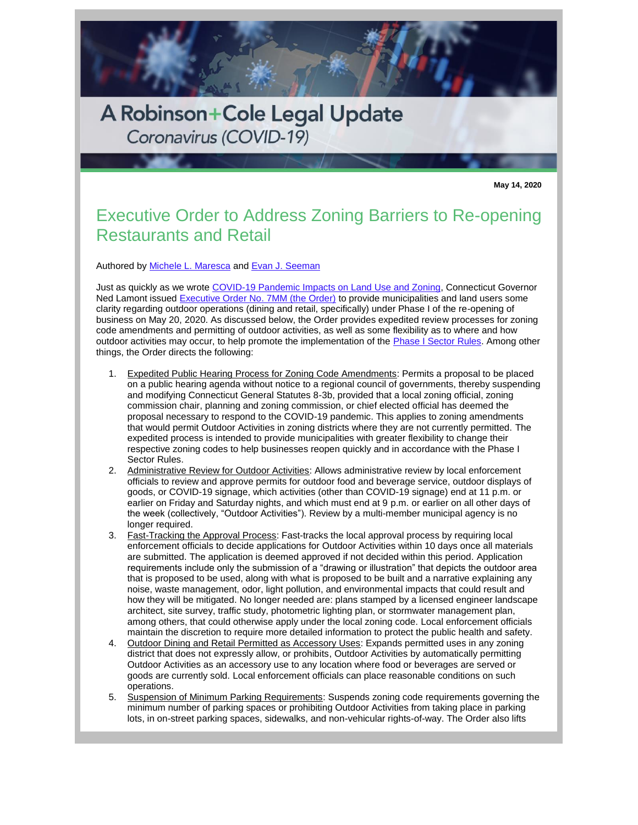

A Robinson+Cole Legal Update Coronavirus (COVID-19)

**May 14, 2020**

## Executive Order to Address Zoning Barriers to Re-opening Restaurants and Retail

Authored by [Michele L. Maresca](http://www.rc.com/people/MicheleLMaresca.cfm) and [Evan J. Seeman](http://www.rc.com/people/EvanJSeeman.cfm)

Just as quickly as we wrote [COVID-19 Pandemic Impacts on Land Use and Zoning,](http://www.rc.com/publications/loader.cfm?csModule=security/getfile&PageID=1111448) Connecticut Governor Ned Lamont issued [Executive Order No. 7MM \(the Order\)](https://portal.ct.gov/-/media/Office-of-the-Governor/Executive-Orders/Lamont-Executive-Orders/Executive-Order-No-7MM.pdf?la=en) to provide municipalities and land users some clarity regarding outdoor operations (dining and retail, specifically) under Phase I of the re-opening of business on May 20, 2020. As discussed below, the Order provides expedited review processes for zoning code amendments and permitting of outdoor activities, as well as some flexibility as to where and how outdoor activities may occur, to help promote the implementation of the [Phase I Sector Rules.](https://protect-us.mimecast.com/s/Ka-iCPNGw8C0EvOXUmTBs2?domain=r20.rs6.net) Among other things, the Order directs the following:

- 1. Expedited Public Hearing Process for Zoning Code Amendments: Permits a proposal to be placed on a public hearing agenda without notice to a regional council of governments, thereby suspending and modifying Connecticut General Statutes 8-3b, provided that a local zoning official, zoning commission chair, planning and zoning commission, or chief elected official has deemed the proposal necessary to respond to the COVID-19 pandemic. This applies to zoning amendments that would permit Outdoor Activities in zoning districts where they are not currently permitted. The expedited process is intended to provide municipalities with greater flexibility to change their respective zoning codes to help businesses reopen quickly and in accordance with the Phase I Sector Rules.
- 2. Administrative Review for Outdoor Activities: Allows administrative review by local enforcement officials to review and approve permits for outdoor food and beverage service, outdoor displays of goods, or COVID-19 signage, which activities (other than COVID-19 signage) end at 11 p.m. or earlier on Friday and Saturday nights, and which must end at 9 p.m. or earlier on all other days of the week (collectively, "Outdoor Activities"). Review by a multi-member municipal agency is no longer required.
- 3. Fast-Tracking the Approval Process: Fast-tracks the local approval process by requiring local enforcement officials to decide applications for Outdoor Activities within 10 days once all materials are submitted. The application is deemed approved if not decided within this period. Application requirements include only the submission of a "drawing or illustration" that depicts the outdoor area that is proposed to be used, along with what is proposed to be built and a narrative explaining any noise, waste management, odor, light pollution, and environmental impacts that could result and how they will be mitigated. No longer needed are: plans stamped by a licensed engineer landscape architect, site survey, traffic study, photometric lighting plan, or stormwater management plan, among others, that could otherwise apply under the local zoning code. Local enforcement officials maintain the discretion to require more detailed information to protect the public health and safety.
- 4. Outdoor Dining and Retail Permitted as Accessory Uses: Expands permitted uses in any zoning district that does not expressly allow, or prohibits, Outdoor Activities by automatically permitting Outdoor Activities as an accessory use to any location where food or beverages are served or goods are currently sold. Local enforcement officials can place reasonable conditions on such operations.
- 5. Suspension of Minimum Parking Requirements: Suspends zoning code requirements governing the minimum number of parking spaces or prohibiting Outdoor Activities from taking place in parking lots, in on-street parking spaces, sidewalks, and non-vehicular rights-of-way. The Order also lifts